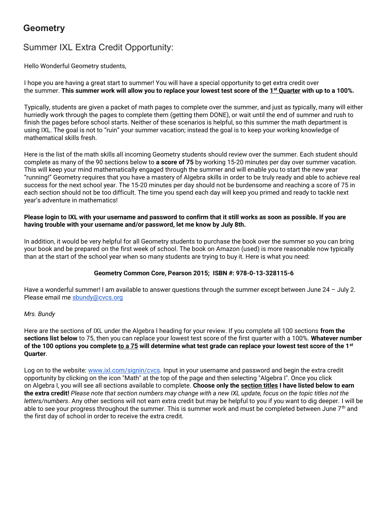# **Geometry**

## Summer IXL Extra Credit Opportunity:

Hello Wonderful Geometry students,

I hope you are having a great start to summer! You will have a special opportunity to get extra credit over the summer. This summer work will allow you to replace your lowest test score of the  $1^{st}$  Quarter with up to a 100%.

Typically, students are given a packet of math pages to complete over the summer, and just as typically, many will either hurriedly work through the pages to complete them (getting them DONE), or wait until the end of summer and rush to finish the pages before school starts. Neither of these scenarios is helpful, so this summer the math department is using IXL. The goal is not to "ruin" your summer vacation; instead the goal is to keep your working knowledge of mathematical skills fresh.

Here is the list of the math skills all incoming Geometry students should review over the summer. Each student should complete as many of the 90 sections below to a score of 75 by working 15-20 minutes per day over summer vacation. This will keep your mind mathematically engaged through the summer and will enable you to start the new year "running!" Geometry requires that you have a mastery of Algebra skills in order to be truly ready and able to achieve real success for the next school year. The 15-20 minutes per day should not be burdensome and reaching a score of 75 in each section should not be too difficult. The time you spend each day will keep you primed and ready to tackle next year's adventure in mathematics!

#### Please login to IXL with your username and password to confirm that it still works as soon as possible. If you are having trouble with your username and/or password, let me know by July 8th.

In addition, it would be very helpful for all Geometry students to purchase the book over the summer so you can bring your book and be prepared on the first week of school. The book on Amazon (used) is more reasonable now typically than at the start of the school year when so many students are trying to buy it. Here is what you need:

#### Geometry Common Core, Pearson 2015; ISBN #: 978-0-13-328115-6

Have a wonderful summer! I am available to answer questions through the summer except between June 24 – July 2. Please email me sbundy@cvcs.org

#### Mrs. Bundy

Here are the sections of IXL under the Algebra I heading for your review. If you complete all 100 sections from the sections list below to 75, then you can replace your lowest test score of the first quarter with a 100%. Whatever number of the 100 options you complete <u>to a 75</u> will determine what test grade can replace your lowest test score of the 1st Quarter.

Log on to the website: www.ixl.com/signin/cvcs. Input in your username and password and begin the extra credit opportunity by clicking on the icon "Math" at the top of the page and then selecting "Algebra I". Once you click on Algebra I, you will see all sections available to complete. Choose only the section titles I have listed below to earn the extra credit! Please note that section numbers may change with a new IXL update, focus on the topic titles not the letters/numbers. Any other sections will not earn extra credit but may be helpful to you if you want to dig deeper. I will be able to see your progress throughout the summer. This is summer work and must be completed between June  $7<sup>th</sup>$  and the first day of school in order to receive the extra credit.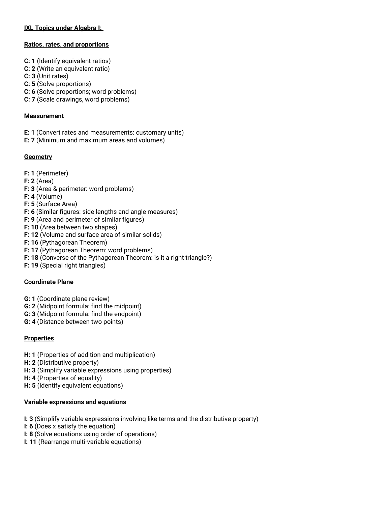## IXL Topics under Algebra I:

#### Ratios, rates, and proportions

- C: 1 (Identify equivalent ratios)
- C: 2 (Write an equivalent ratio)
- C: 3 (Unit rates)
- C: 5 (Solve proportions)
- C: 6 (Solve proportions; word problems)
- C: 7 (Scale drawings, word problems)

#### **Measurement**

- E: 1 (Convert rates and measurements: customary units)
- E: 7 (Minimum and maximum areas and volumes)

## **Geometry**

- F: 1 (Perimeter)
- F: 2 (Area)
- F: 3 (Area & perimeter: word problems)
- F: 4 (Volume)
- F: 5 (Surface Area)
- F: 6 (Similar figures: side lengths and angle measures)
- F: 9 (Area and perimeter of similar figures)
- F: 10 (Area between two shapes)
- F: 12 (Volume and surface area of similar solids)
- F: 16 (Pythagorean Theorem)
- F: 17 (Pythagorean Theorem: word problems)
- F: 18 (Converse of the Pythagorean Theorem: is it a right triangle?)
- F: 19 (Special right triangles)

## Coordinate Plane

- G: 1 (Coordinate plane review)
- G: 2 (Midpoint formula: find the midpoint)
- G: 3 (Midpoint formula: find the endpoint)
- G: 4 (Distance between two points)

## **Properties**

- H: 1 (Properties of addition and multiplication)
- H: 2 (Distributive property)
- H: 3 (Simplify variable expressions using properties)
- H: 4 (Properties of equality)
- H: 5 (Identify equivalent equations)

## Variable expressions and equations

- I: 3 (Simplify variable expressions involving like terms and the distributive property)
- I: 6 (Does x satisfy the equation)
- I: 8 (Solve equations using order of operations)
- I: 11 (Rearrange multi-variable equations)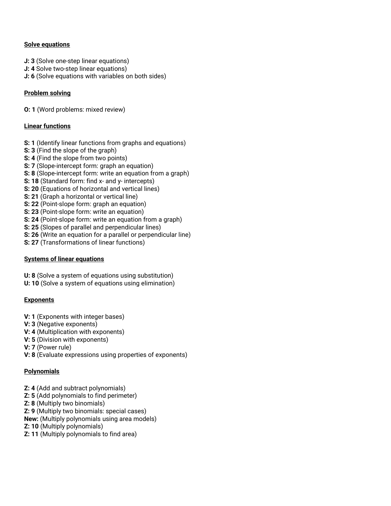#### Solve equations

- J: 3 (Solve one-step linear equations)
- J: 4 Solve two-step linear equations)
- J: 6 (Solve equations with variables on both sides)

## Problem solving

O: 1 (Word problems: mixed review)

## Linear functions

- S: 1 (Identify linear functions from graphs and equations)
- S: 3 (Find the slope of the graph)
- S: 4 (Find the slope from two points)
- S: 7 (Slope-intercept form: graph an equation)
- S: 8 (Slope-intercept form: write an equation from a graph)
- S: 18 (Standard form: find x- and y- intercepts)
- S: 20 (Equations of horizontal and vertical lines)
- S: 21 (Graph a horizontal or vertical line)
- S: 22 (Point-slope form: graph an equation)
- S: 23 (Point-slope form: write an equation)
- S: 24 (Point-slope form: write an equation from a graph)
- S: 25 (Slopes of parallel and perpendicular lines)
- S: 26 (Write an equation for a parallel or perpendicular line)
- S: 27 (Transformations of linear functions)

#### Systems of linear equations

- U: 8 (Solve a system of equations using substitution)
- U: 10 (Solve a system of equations using elimination)

## **Exponents**

- V: 1 (Exponents with integer bases)
- V: 3 (Negative exponents)
- V: 4 (Multiplication with exponents)
- V: 5 (Division with exponents)
- V: 7 (Power rule)
- V: 8 (Evaluate expressions using properties of exponents)

## Polynomials

- Z: 4 (Add and subtract polynomials)
- Z: 5 (Add polynomials to find perimeter)
- Z: 8 (Multiply two binomials)
- Z: 9 (Multiply two binomials: special cases)
- New: (Multiply polynomials using area models)
- Z: 10 (Multiply polynomials)
- Z: 11 (Multiply polynomials to find area)